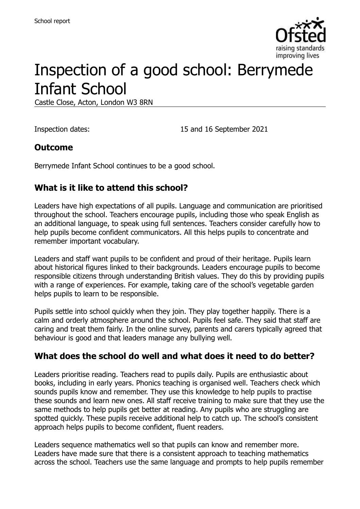

# Inspection of a good school: Berrymede Infant School

Castle Close, Acton, London W3 8RN

Inspection dates: 15 and 16 September 2021

#### **Outcome**

Berrymede Infant School continues to be a good school.

## **What is it like to attend this school?**

Leaders have high expectations of all pupils. Language and communication are prioritised throughout the school. Teachers encourage pupils, including those who speak English as an additional language, to speak using full sentences. Teachers consider carefully how to help pupils become confident communicators. All this helps pupils to concentrate and remember important vocabulary.

Leaders and staff want pupils to be confident and proud of their heritage. Pupils learn about historical figures linked to their backgrounds. Leaders encourage pupils to become responsible citizens through understanding British values. They do this by providing pupils with a range of experiences. For example, taking care of the school's vegetable garden helps pupils to learn to be responsible.

Pupils settle into school quickly when they join. They play together happily. There is a calm and orderly atmosphere around the school. Pupils feel safe. They said that staff are caring and treat them fairly. In the online survey, parents and carers typically agreed that behaviour is good and that leaders manage any bullying well.

#### **What does the school do well and what does it need to do better?**

Leaders prioritise reading. Teachers read to pupils daily. Pupils are enthusiastic about books, including in early years. Phonics teaching is organised well. Teachers check which sounds pupils know and remember. They use this knowledge to help pupils to practise these sounds and learn new ones. All staff receive training to make sure that they use the same methods to help pupils get better at reading. Any pupils who are struggling are spotted quickly. These pupils receive additional help to catch up. The school's consistent approach helps pupils to become confident, fluent readers.

Leaders sequence mathematics well so that pupils can know and remember more. Leaders have made sure that there is a consistent approach to teaching mathematics across the school. Teachers use the same language and prompts to help pupils remember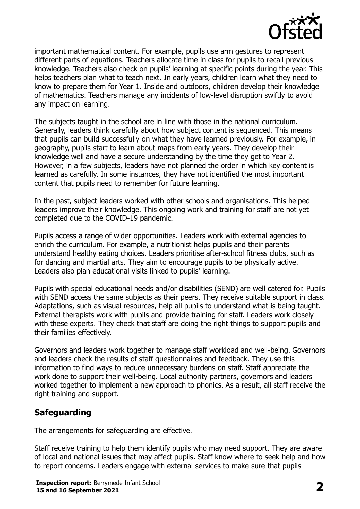

important mathematical content. For example, pupils use arm gestures to represent different parts of equations. Teachers allocate time in class for pupils to recall previous knowledge. Teachers also check on pupils' learning at specific points during the year. This helps teachers plan what to teach next. In early years, children learn what they need to know to prepare them for Year 1. Inside and outdoors, children develop their knowledge of mathematics. Teachers manage any incidents of low-level disruption swiftly to avoid any impact on learning.

The subjects taught in the school are in line with those in the national curriculum. Generally, leaders think carefully about how subject content is sequenced. This means that pupils can build successfully on what they have learned previously. For example, in geography, pupils start to learn about maps from early years. They develop their knowledge well and have a secure understanding by the time they get to Year 2. However, in a few subjects, leaders have not planned the order in which key content is learned as carefully. In some instances, they have not identified the most important content that pupils need to remember for future learning.

In the past, subject leaders worked with other schools and organisations. This helped leaders improve their knowledge. This ongoing work and training for staff are not yet completed due to the COVID-19 pandemic.

Pupils access a range of wider opportunities. Leaders work with external agencies to enrich the curriculum. For example, a nutritionist helps pupils and their parents understand healthy eating choices. Leaders prioritise after-school fitness clubs, such as for dancing and martial arts. They aim to encourage pupils to be physically active. Leaders also plan educational visits linked to pupils' learning.

Pupils with special educational needs and/or disabilities (SEND) are well catered for. Pupils with SEND access the same subjects as their peers. They receive suitable support in class. Adaptations, such as visual resources, help all pupils to understand what is being taught. External therapists work with pupils and provide training for staff. Leaders work closely with these experts. They check that staff are doing the right things to support pupils and their families effectively.

Governors and leaders work together to manage staff workload and well-being. Governors and leaders check the results of staff questionnaires and feedback. They use this information to find ways to reduce unnecessary burdens on staff. Staff appreciate the work done to support their well-being. Local authority partners, governors and leaders worked together to implement a new approach to phonics. As a result, all staff receive the right training and support.

## **Safeguarding**

The arrangements for safeguarding are effective.

Staff receive training to help them identify pupils who may need support. They are aware of local and national issues that may affect pupils. Staff know where to seek help and how to report concerns. Leaders engage with external services to make sure that pupils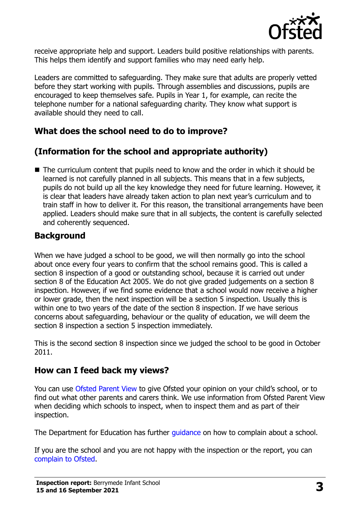

receive appropriate help and support. Leaders build positive relationships with parents. This helps them identify and support families who may need early help.

Leaders are committed to safeguarding. They make sure that adults are properly vetted before they start working with pupils. Through assemblies and discussions, pupils are encouraged to keep themselves safe. Pupils in Year 1, for example, can recite the telephone number for a national safeguarding charity. They know what support is available should they need to call.

## **What does the school need to do to improve?**

# **(Information for the school and appropriate authority)**

■ The curriculum content that pupils need to know and the order in which it should be learned is not carefully planned in all subjects. This means that in a few subjects, pupils do not build up all the key knowledge they need for future learning. However, it is clear that leaders have already taken action to plan next year's curriculum and to train staff in how to deliver it. For this reason, the transitional arrangements have been applied. Leaders should make sure that in all subjects, the content is carefully selected and coherently sequenced.

## **Background**

When we have judged a school to be good, we will then normally go into the school about once every four years to confirm that the school remains good. This is called a section 8 inspection of a good or outstanding school, because it is carried out under section 8 of the Education Act 2005. We do not give graded judgements on a section 8 inspection. However, if we find some evidence that a school would now receive a higher or lower grade, then the next inspection will be a section 5 inspection. Usually this is within one to two years of the date of the section 8 inspection. If we have serious concerns about safeguarding, behaviour or the quality of education, we will deem the section 8 inspection a section 5 inspection immediately.

This is the second section 8 inspection since we judged the school to be good in October 2011.

## **How can I feed back my views?**

You can use [Ofsted Parent View](https://parentview.ofsted.gov.uk/) to give Ofsted your opinion on your child's school, or to find out what other parents and carers think. We use information from Ofsted Parent View when deciding which schools to inspect, when to inspect them and as part of their inspection.

The Department for Education has further quidance on how to complain about a school.

If you are the school and you are not happy with the inspection or the report, you can [complain to Ofsted.](https://www.gov.uk/complain-ofsted-report)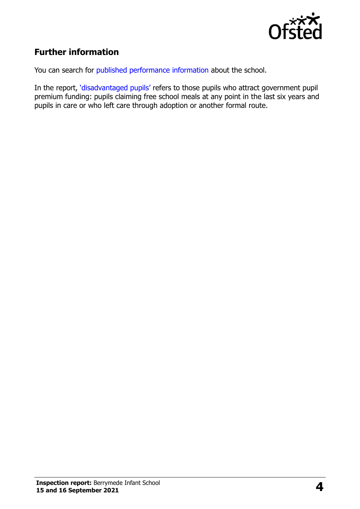

## **Further information**

You can search for [published performance information](http://www.compare-school-performance.service.gov.uk/) about the school.

In the report, '[disadvantaged pupils](http://www.gov.uk/guidance/pupil-premium-information-for-schools-and-alternative-provision-settings)' refers to those pupils who attract government pupil premium funding: pupils claiming free school meals at any point in the last six years and pupils in care or who left care through adoption or another formal route.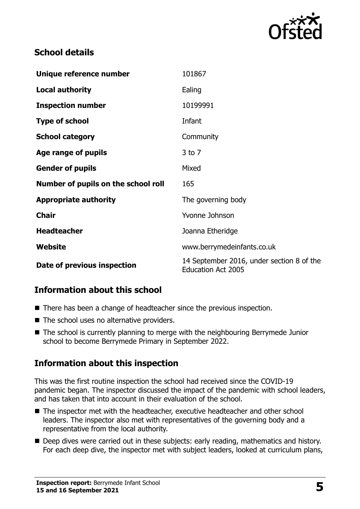

#### **School details**

| Unique reference number             | 101867                                                                 |
|-------------------------------------|------------------------------------------------------------------------|
| <b>Local authority</b>              | Ealing                                                                 |
| <b>Inspection number</b>            | 10199991                                                               |
| <b>Type of school</b>               | Infant                                                                 |
| <b>School category</b>              | Community                                                              |
| Age range of pupils                 | $3$ to $7$                                                             |
| <b>Gender of pupils</b>             | Mixed                                                                  |
| Number of pupils on the school roll | 165                                                                    |
| <b>Appropriate authority</b>        | The governing body                                                     |
| <b>Chair</b>                        | Yvonne Johnson                                                         |
| <b>Headteacher</b>                  | Joanna Etheridge                                                       |
| <b>Website</b>                      | www.berrymedeinfants.co.uk                                             |
| Date of previous inspection         | 14 September 2016, under section 8 of the<br><b>Education Act 2005</b> |

## **Information about this school**

- There has been a change of headteacher since the previous inspection.
- The school uses no alternative providers.
- The school is currently planning to merge with the neighbouring Berrymede Junior school to become Berrymede Primary in September 2022.

## **Information about this inspection**

This was the first routine inspection the school had received since the COVID-19 pandemic began. The inspector discussed the impact of the pandemic with school leaders, and has taken that into account in their evaluation of the school.

- The inspector met with the headteacher, executive headteacher and other school leaders. The inspector also met with representatives of the governing body and a representative from the local authority.
- Deep dives were carried out in these subjects: early reading, mathematics and history. For each deep dive, the inspector met with subject leaders, looked at curriculum plans,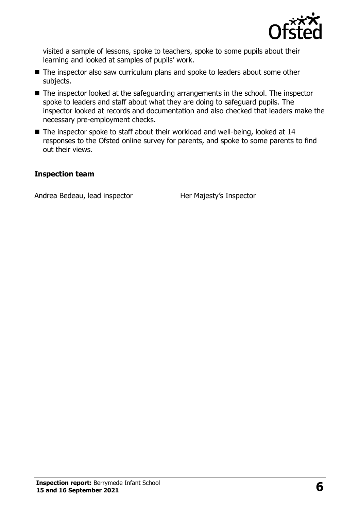

visited a sample of lessons, spoke to teachers, spoke to some pupils about their learning and looked at samples of pupils' work.

- The inspector also saw curriculum plans and spoke to leaders about some other subjects.
- The inspector looked at the safeguarding arrangements in the school. The inspector spoke to leaders and staff about what they are doing to safeguard pupils. The inspector looked at records and documentation and also checked that leaders make the necessary pre-employment checks.
- The inspector spoke to staff about their workload and well-being, looked at 14 responses to the Ofsted online survey for parents, and spoke to some parents to find out their views.

#### **Inspection team**

Andrea Bedeau, lead inspector Her Majesty's Inspector